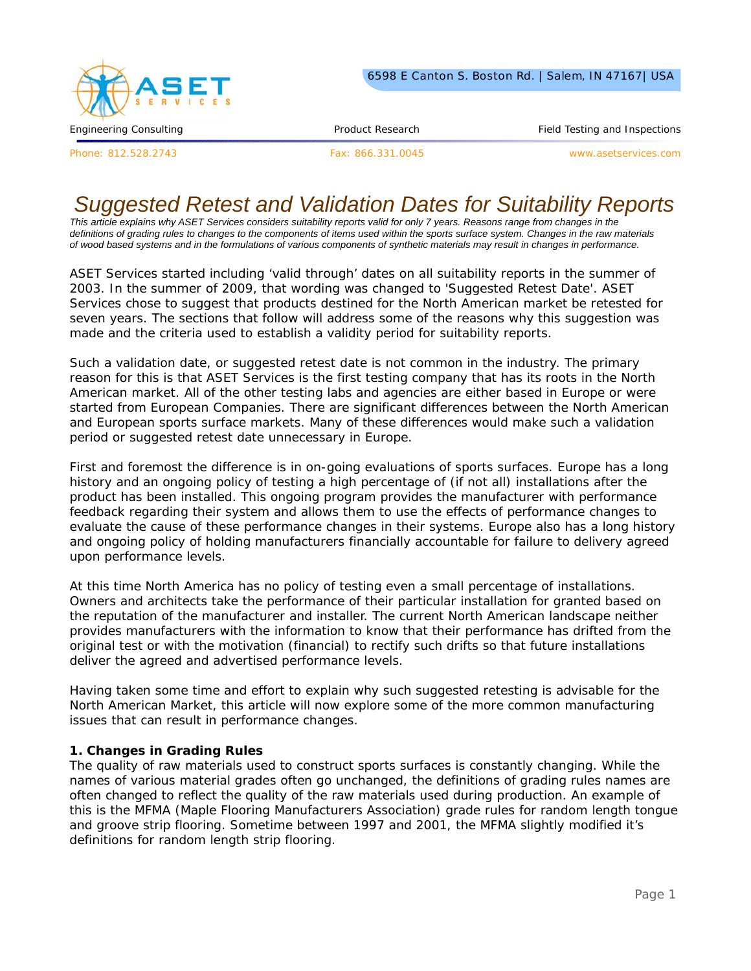

Phone: 812.528.2743 Fax: 866.331.0045 www.asetservices.com

# *Suggested Retest and Validation Dates for Suitability Reports*

*This article explains why ASET Services considers suitability reports valid for only 7 years. Reasons range from changes in the definitions of grading rules to changes to the components of items used within the sports surface system. Changes in the raw materials of wood based systems and in the formulations of various components of synthetic materials may result in changes in performance.*

ASET Services started including 'valid through' dates on all suitability reports in the summer of 2003. In the summer of 2009, that wording was changed to 'Suggested Retest Date'. ASET Services chose to suggest that products destined for the North American market be retested for seven years. The sections that follow will address some of the reasons why this suggestion was made and the criteria used to establish a validity period for suitability reports.

Such a validation date, or suggested retest date is not common in the industry. The primary reason for this is that ASET Services is the first testing company that has its roots in the North American market. All of the other testing labs and agencies are either based in Europe or were started from European Companies. There are significant differences between the North American and European sports surface markets. Many of these differences would make such a validation period or suggested retest date unnecessary in Europe.

First and foremost the difference is in on-going evaluations of sports surfaces. Europe has a long history and an ongoing policy of testing a high percentage of (if not all) installations after the product has been installed. This ongoing program provides the manufacturer with performance feedback regarding their system and allows them to use the effects of performance changes to evaluate the cause of these performance changes in their systems. Europe also has a long history and ongoing policy of holding manufacturers financially accountable for failure to delivery agreed upon performance levels.

At this time North America has no policy of testing even a small percentage of installations. Owners and architects take the performance of their particular installation for granted based on the reputation of the manufacturer and installer. The current North American landscape neither provides manufacturers with the information to know that their performance has drifted from the original test or with the motivation (financial) to rectify such drifts so that future installations deliver the agreed and advertised performance levels.

Having taken some time and effort to explain why such suggested retesting is advisable for the North American Market, this article will now explore some of the more common manufacturing issues that can result in performance changes.

#### **1. Changes in Grading Rules**

The quality of raw materials used to construct sports surfaces is constantly changing. While the names of various material grades often go unchanged, the definitions of grading rules names are often changed to reflect the quality of the raw materials used during production. An example of this is the MFMA (Maple Flooring Manufacturers Association) grade rules for random length tongue and groove strip flooring. Sometime between 1997 and 2001, the MFMA slightly modified it's definitions for random length strip flooring.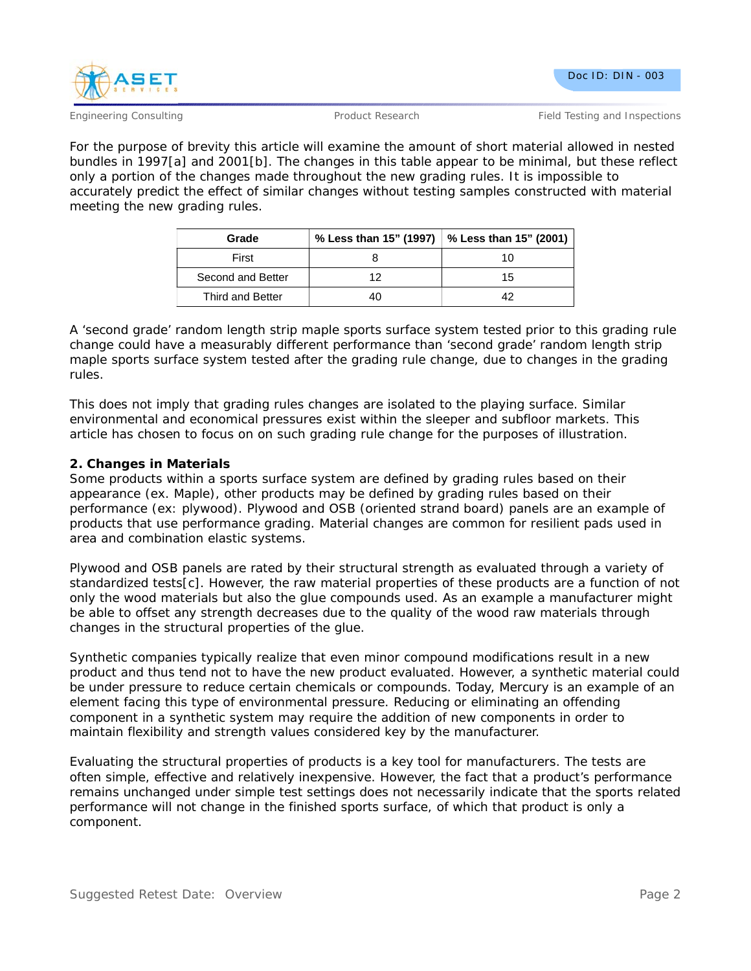



Engineering Consulting Product Research Field Testing and Inspections

For the purpose of brevity this article will examine the amount of short material allowed in nested bundles in 1997[a] and 2001[b]. The changes in this table appear to be minimal, but these reflect only a portion of the changes made throughout the new grading rules. It is impossible to accurately predict the effect of similar changes without testing samples constructed with material meeting the new grading rules.

| Grade             |    | % Less than 15" (1997)   % Less than 15" (2001) |
|-------------------|----|-------------------------------------------------|
| First             |    | 10                                              |
| Second and Better | 1つ | 15                                              |
| Third and Better  |    | 42                                              |

A 'second grade' random length strip maple sports surface system tested prior to this grading rule change could have a measurably different performance than 'second grade' random length strip maple sports surface system tested after the grading rule change, due to changes in the grading rules.

This does not imply that grading rules changes are isolated to the playing surface. Similar environmental and economical pressures exist within the sleeper and subfloor markets. This article has chosen to focus on on such grading rule change for the purposes of illustration.

### **2. Changes in Materials**

Some products within a sports surface system are defined by grading rules based on their appearance (ex. Maple), other products may be defined by grading rules based on their performance (ex: plywood). Plywood and OSB (oriented strand board) panels are an example of products that use performance grading. Material changes are common for resilient pads used in area and combination elastic systems.

Plywood and OSB panels are rated by their structural strength as evaluated through a variety of standardized tests[c]. However, the raw material properties of these products are a function of not only the wood materials but also the glue compounds used. As an example a manufacturer might be able to offset any strength decreases due to the quality of the wood raw materials through changes in the structural properties of the glue.

Synthetic companies typically realize that even minor compound modifications result in a new product and thus tend not to have the new product evaluated. However, a synthetic material could be under pressure to reduce certain chemicals or compounds. Today, Mercury is an example of an element facing this type of environmental pressure. Reducing or eliminating an offending component in a synthetic system may require the addition of new components in order to maintain flexibility and strength values considered key by the manufacturer.

Evaluating the structural properties of products is a key tool for manufacturers. The tests are often simple, effective and relatively inexpensive. However, the fact that a product's performance remains unchanged under simple test settings does not necessarily indicate that the sports related performance will not change in the finished sports surface, of which that product is only a component.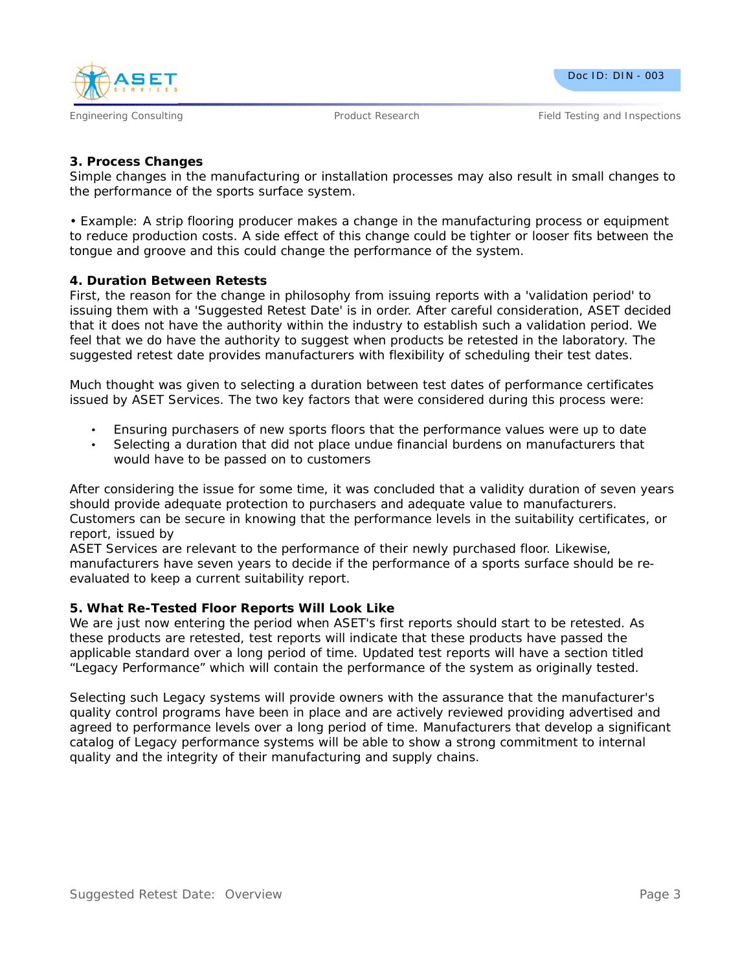



Engineering Consulting Testing Article 2016 Product Research Testing Product Research Field Testing and Inspections

### **3. Process Changes**

Simple changes in the manufacturing or installation processes may also result in small changes to the performance of the sports surface system.

• Example: A strip flooring producer makes a change in the manufacturing process or equipment to reduce production costs. A side effect of this change could be tighter or looser fits between the tongue and groove and this could change the performance of the system.

### **4. Duration Between Retests**

First, the reason for the change in philosophy from issuing reports with a 'validation period' to issuing them with a 'Suggested Retest Date' is in order. After careful consideration, ASET decided that it does not have the authority within the industry to establish such a validation period. We feel that we do have the authority to suggest when products be retested in the laboratory. The suggested retest date provides manufacturers with flexibility of scheduling their test dates.

Much thought was given to selecting a duration between test dates of performance certificates issued by ASET Services. The two key factors that were considered during this process were:

- Ensuring purchasers of new sports floors that the performance values were up to date
- Selecting a duration that did not place undue financial burdens on manufacturers that would have to be passed on to customers

After considering the issue for some time, it was concluded that a validity duration of seven years should provide adequate protection to purchasers and adequate value to manufacturers. Customers can be secure in knowing that the performance levels in the suitability certificates, or report, issued by

ASET Services are relevant to the performance of their newly purchased floor. Likewise, manufacturers have seven years to decide if the performance of a sports surface should be reevaluated to keep a current suitability report.

## **5. What Re-Tested Floor Reports Will Look Like**

We are just now entering the period when ASET's first reports should start to be retested. As these products are retested, test reports will indicate that these products have passed the applicable standard over a long period of time. Updated test reports will have a section titled "Legacy Performance" which will contain the performance of the system as originally tested.

Selecting such Legacy systems will provide owners with the assurance that the manufacturer's quality control programs have been in place and are actively reviewed providing advertised and agreed to performance levels over a long period of time. Manufacturers that develop a significant catalog of Legacy performance systems will be able to show a strong commitment to internal quality and the integrity of their manufacturing and supply chains.